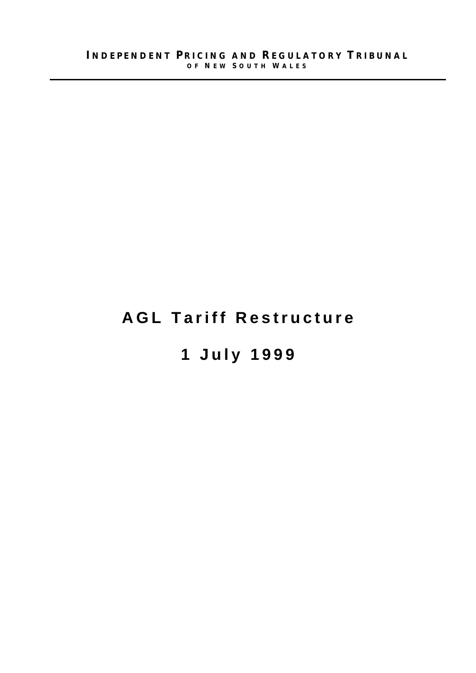## **AGL Tariff Restructure**

# **1 July 1999**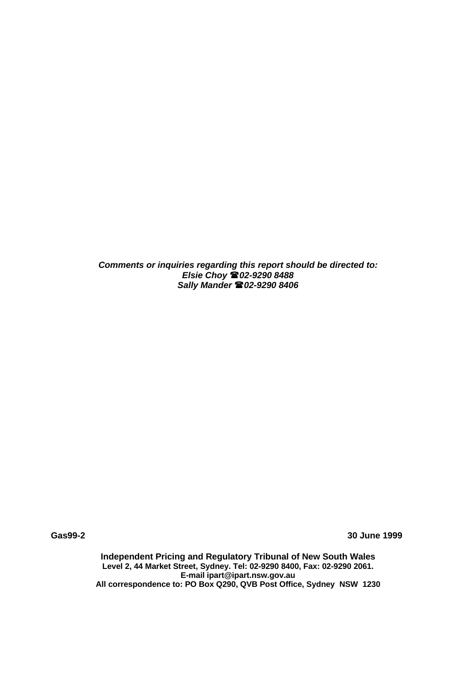*Comments or inquiries regarding this report should be directed to: Elsie Choy (02-9290 8488 Sally Mander (02-9290 8406*

**Gas99-2 30 June 1999**

**Independent Pricing and Regulatory Tribunal of New South Wales Level 2, 44 Market Street, Sydney. Tel: 02-9290 8400, Fax: 02-9290 2061. E-mail ipart@ipart.nsw.gov.au All correspondence to: PO Box Q290, QVB Post Office, Sydney NSW 1230**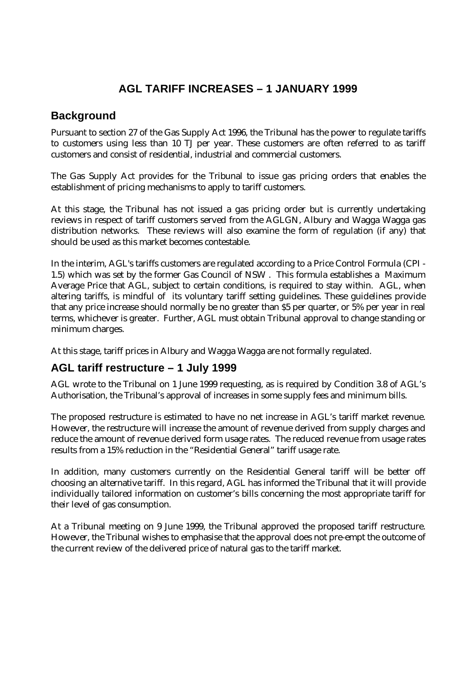### **AGL TARIFF INCREASES – 1 JANUARY 1999**

#### **Background**

Pursuant to section 27 of the Gas Supply Act 1996, the Tribunal has the power to regulate tariffs to customers using less than 10 TJ per year. These customers are often referred to as tariff customers and consist of residential, industrial and commercial customers.

The Gas Supply Act provides for the Tribunal to issue gas pricing orders that enables the establishment of pricing mechanisms to apply to tariff customers.

At this stage, the Tribunal has not issued a gas pricing order but is currently undertaking reviews in respect of tariff customers served from the AGLGN, Albury and Wagga Wagga gas distribution networks. These reviews will also examine the form of regulation (if any) that should be used as this market becomes contestable.

In the interim, AGL's tariffs customers are regulated according to a Price Control Formula (CPI - 1.5) which was set by the former Gas Council of NSW . This formula establishes a Maximum Average Price that AGL, subject to certain conditions, is required to stay within. AGL, when altering tariffs, is mindful of its voluntary tariff setting guidelines. These guidelines provide that any price increase should normally be no greater than \$5 per quarter, or 5% per year in real terms, whichever is greater. Further, AGL must obtain Tribunal approval to change standing or minimum charges.

At this stage, tariff prices in Albury and Wagga Wagga are not formally regulated.

#### **AGL tariff restructure – 1 July 1999**

AGL wrote to the Tribunal on 1 June 1999 requesting, as is required by Condition 3.8 of AGL's Authorisation, the Tribunal's approval of increases in some supply fees and minimum bills.

The proposed restructure is estimated to have no net increase in AGL's tariff market revenue. However, the restructure will increase the amount of revenue derived from supply charges and reduce the amount of revenue derived form usage rates. The reduced revenue from usage rates results from a 15% reduction in the "Residential General" tariff usage rate.

In addition, many customers currently on the Residential General tariff will be better off choosing an alternative tariff. In this regard, AGL has informed the Tribunal that it will provide individually tailored information on customer's bills concerning the most appropriate tariff for their level of gas consumption.

At a Tribunal meeting on 9 June 1999, the Tribunal approved the proposed tariff restructure. However, the Tribunal wishes to emphasise that the approval does not pre-empt the outcome of the current review of the delivered price of natural gas to the tariff market.